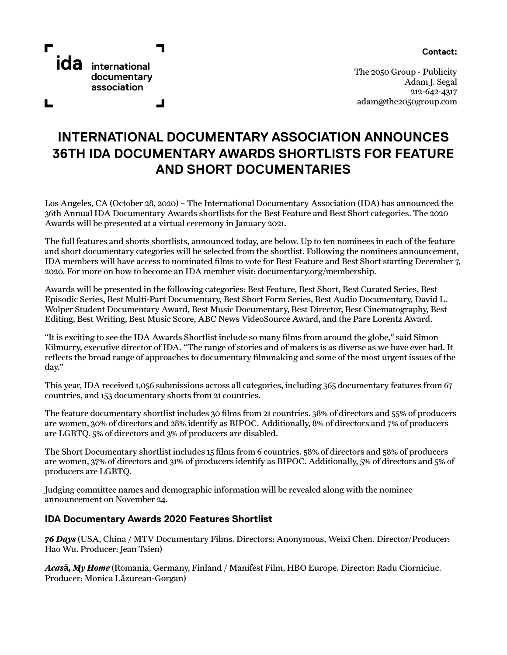**Contact:** 



┙

The 2050 Group - Publicity Adam J. Segal 212-642-4317 adam@the2050group.com

## **INTERNATIONAL DOCUMENTARY ASSOCIATION ANNOUNCES 36TH IDA DOCUMENTARY AWARDS SHORTLISTS FOR FEATURE AND SHORT DOCUMENTARIES**

Los Angeles, CA (October 28, 2020) – The International Documentary Association (IDA) has announced the 36th Annual IDA Documentary Awards shortlists for the Best Feature and Best Short categories. The 2020 Awards will be presented at a virtual ceremony in January 2021.

The full features and shorts shortlists, announced today, are below. Up to ten nominees in each of the feature and short documentary categories will be selected from the shortlist. Following the nominees announcement, IDA members will have access to nominated films to vote for Best Feature and Best Short starting December 7, 2020. For more on how to become an IDA member visit: documentary.org/membership.

Awards will be presented in the following categories: Best Feature, Best Short, Best Curated Series, Best Episodic Series, Best Multi-Part Documentary, Best Short Form Series, Best Audio Documentary, David L. Wolper Student Documentary Award, Best Music Documentary, Best Director, Best Cinematography, Best Editing, Best Writing, Best Music Score, ABC News VideoSource Award, and the Pare Lorentz Award.

"It is exciting to see the IDA Awards Shortlist include so many films from around the globe," said Simon Kilmurry, executive director of IDA. "The range of stories and of makers is as diverse as we have ever had. It reflects the broad range of approaches to documentary filmmaking and some of the most urgent issues of the day."

This year, IDA received 1,056 submissions across all categories, including 365 documentary features from 67 countries, and 153 documentary shorts from 21 countries.

The feature documentary shortlist includes 30 films from 21 countries. 38% of directors and 55% of producers are women, 30% of directors and 28% identify as BIPOC. Additionally, 8% of directors and 7% of producers are LGBTQ. 5% of directors and 3% of producers are disabled.

The Short Documentary shortlist includes 15 films from 6 countries. 58% of directors and 58% of producers are women, 37% of directors and 31% of producers identify as BIPOC. Additionally, 5% of directors and 5% of producers are LGBTQ.

Judging committee names and demographic information will be revealed along with the nominee announcement on November 24.

## **IDA Documentary Awards 2020 Features Shortlist**

*76 Days* (USA, China / MTV Documentary Films. Directors: Anonymous, Weixi Chen. Director/Producer: Hao Wu. Producer: Jean Tsien)

*Acas***ă***, My Home* (Romania, Germany, Finland / Manifest Film, HBO Europe. Director: Radu Ciorniciuc. Producer: Monica Lăzurean-Gorgan)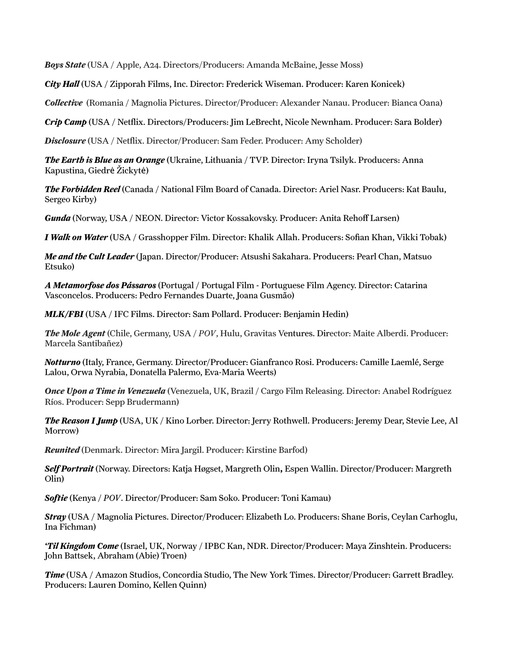*Boys State* (USA / Apple, A24. Directors/Producers: Amanda McBaine, Jesse Moss)

*City Hall* (USA / Zipporah Films, Inc. Director: Frederick Wiseman. Producer: Karen Konicek)

*Collective* (Romania / Magnolia Pictures. Director/Producer: Alexander Nanau. Producer: Bianca Oana)

*Crip Camp* (USA / Netflix. Directors/Producers: Jim LeBrecht, Nicole Newnham. Producer: Sara Bolder)

*Disclosure* (USA / Netflix. Director/Producer: Sam Feder. Producer: Amy Scholder)

*The Earth is Blue as an Orange* (Ukraine, Lithuania / TVP. Director: Iryna Tsilyk. Producers: Anna Kapustina, Giedrė Žickytė)

*The Forbidden Reel* (Canada / National Film Board of Canada. Director: Ariel Nasr. Producers: Kat Baulu, Sergeo Kirby)

*Gunda* (Norway, USA / NEON. Director: Victor Kossakovsky. Producer: Anita Rehoff Larsen)

*I Walk on Water* (USA / Grasshopper Film. Director: Khalik Allah. Producers: Sofian Khan, Vikki Tobak)

*Me and the Cult Leader* (Japan. Director/Producer: Atsushi Sakahara. Producers: Pearl Chan, Matsuo Etsuko)

*A Metamorfose dos Pássaros* (Portugal / Portugal Film - Portuguese Film Agency. Director: Catarina Vasconcelos. Producers: Pedro Fernandes Duarte, Joana Gusmão)

*MLK/FBI* (USA / IFC Films. Director: Sam Pollard. Producer: Benjamin Hedin)

*The Mole Agent* (Chile, Germany, USA / *POV*, Hulu, Gravitas Ventures. Director: Maite Alberdi. Producer: Marcela Santibañez)

*Notturno* (Italy, France, Germany. Director/Producer: Gianfranco Rosi. Producers: Camille Laemlé, Serge Lalou, Orwa Nyrabia, Donatella Palermo, Eva-Maria Weerts)

*Once Upon a Time in Venezuela* (Venezuela, UK, Brazil / Cargo Film Releasing. Director: Anabel Rodríguez Ríos. Producer: Sepp Brudermann)

*The Reason I Jump* (USA, UK / Kino Lorber. Director: Jerry Rothwell. Producers: Jeremy Dear, Stevie Lee, Al Morrow)

*Reunited* (Denmark. Director: Mira Jargil. Producer: Kirstine Barfod)

*Self Portrait* (Norway. Directors: Katja Høgset, Margreth Olin**,** Espen Wallin. Director/Producer: Margreth Olin)

*Softie* (Kenya / *POV*. Director/Producer: Sam Soko. Producer: Toni Kamau)

*Stray* (USA / Magnolia Pictures. Director/Producer: Elizabeth Lo. Producers: Shane Boris, Ceylan Carhoglu, Ina Fichman)

*'Til Kingdom Come* (Israel, UK, Norway / IPBC Kan, NDR. Director/Producer: Maya Zinshtein. Producers: John Battsek, Abraham (Abie) Troen)

*Time* (USA / Amazon Studios, Concordia Studio, The New York Times. Director/Producer: Garrett Bradley. Producers: Lauren Domino, Kellen Quinn)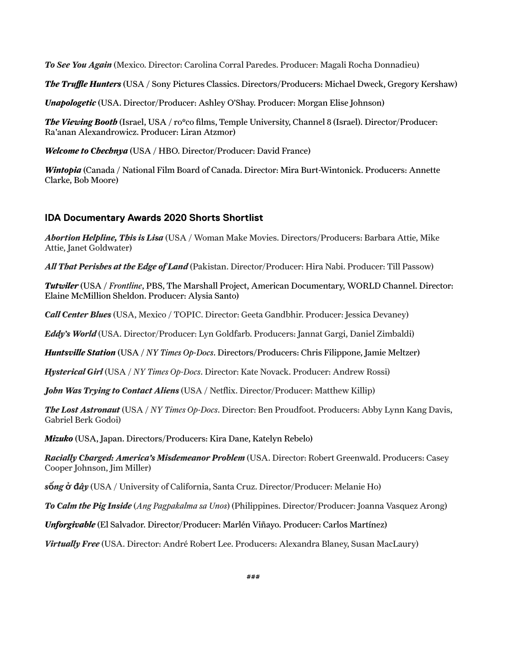*To See You Again* (Mexico. Director: Carolina Corral Paredes. Producer: Magali Rocha Donnadieu)

*The Truffle Hunters* (USA / Sony Pictures Classics. Directors/Producers: Michael Dweck, Gregory Kershaw)

*Unapologetic* (USA. Director/Producer: Ashley O'Shay. Producer: Morgan Elise Johnson)

*The Viewing Booth* (Israel, USA / ro\*co films, Temple University, Channel 8 (Israel). Director/Producer: Ra'anan Alexandrowicz. Producer: Liran Atzmor)

*Welcome to Chechnya* (USA / HBO. Director/Producer: David France)

*Wintopia* (Canada / National Film Board of Canada. Director: Mira Burt-Wintonick. Producers: Annette Clarke, Bob Moore)

## **IDA Documentary Awards 2020 Shorts Shortlist**

*Abortion Helpline, This is Lisa* (USA / Woman Make Movies. Directors/Producers: Barbara Attie, Mike Attie, Janet Goldwater)

*All That Perishes at the Edge of Land* (Pakistan. Director/Producer: Hira Nabi. Producer: Till Passow)

*Tutwiler* (USA / *Frontline*, PBS, The Marshall Project, American Documentary, WORLD Channel. Director: Elaine McMillion Sheldon. Producer: Alysia Santo)

*Call Center Blues* (USA, Mexico / TOPIC. Director: Geeta Gandbhir. Producer: Jessica Devaney)

*Eddy's World* (USA. Director/Producer: Lyn Goldfarb. Producers: Jannat Gargi, Daniel Zimbaldi)

*Huntsville Station* (USA / *NY Times Op-Docs*. Directors/Producers: Chris Filippone, Jamie Meltzer)

*Hysterical Girl* (USA / *NY Times Op-Docs*. Director: Kate Novack. Producer: Andrew Rossi)

*John Was Trying to Contact Aliens* (USA / Netflix. Director/Producer: Matthew Killip)

*The Lost Astronaut* (USA / *NY Times Op-Docs*. Director: Ben Proudfoot. Producers: Abby Lynn Kang Davis, Gabriel Berk Godoi)

*Mizuko* (USA, Japan. Directors/Producers: Kira Dane, Katelyn Rebelo)

*Racially Charged: America's Misdemeanor Problem* (USA. Director: Robert Greenwald. Producers: Casey Cooper Johnson, Jim Miller)

*s***ố***ng* **ở đ***ây* (USA / University of California, Santa Cruz. Director/Producer: Melanie Ho)

*To Calm the Pig Inside* (*Ang Pagpakalma sa Unos*) (Philippines. Director/Producer: Joanna Vasquez Arong)

*Unforgivable* (El Salvador. Director/Producer: Marlén Viñayo. Producer: Carlos Martínez)

*Virtually Free* (USA. Director: André Robert Lee. Producers: Alexandra Blaney, Susan MacLaury)